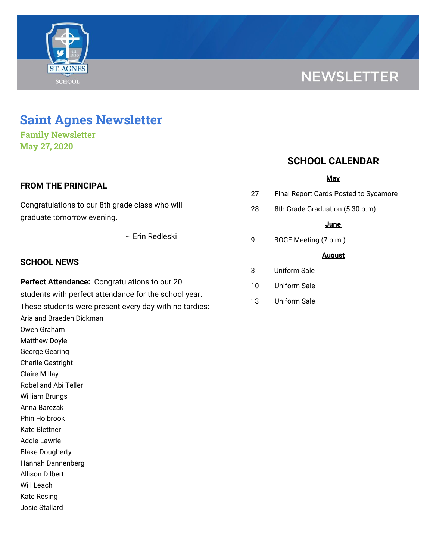

# **NEWSLETTER**

# **Saint Agnes Newsletter**

**Family Newsletter May 27, 2020**

# **FROM THE PRINCIPAL**

Congratulations to our 8th grade class who will graduate tomorrow evening.

~ Erin Redleski

### **SCHOOL NEWS**

**Perfect Attendance:** Congratulations to our 20 students with perfect attendance for the school year. These students were present every day with no tardies: Aria and Braeden Dickman Owen Graham Matthew Doyle George Gearing Charlie Gastright Claire Millay Robel and Abi Teller William Brungs Anna Barczak Phin Holbrook Kate Blettner Addie Lawrie Blake Dougherty Hannah Dannenberg Allison Dilbert Will Leach

Kate Resing

Josie Stallard

# **SCHOOL CALENDAR**

#### **May**

- 27 Final Report Cards Posted to Sycamore
- 28 8th Grade Graduation (5:30 p.m)

#### **June**

9 BOCE Meeting (7 p.m.)

#### **August**

- 3 Uniform Sale
- 10 Uniform Sale
- 13 Uniform Sale